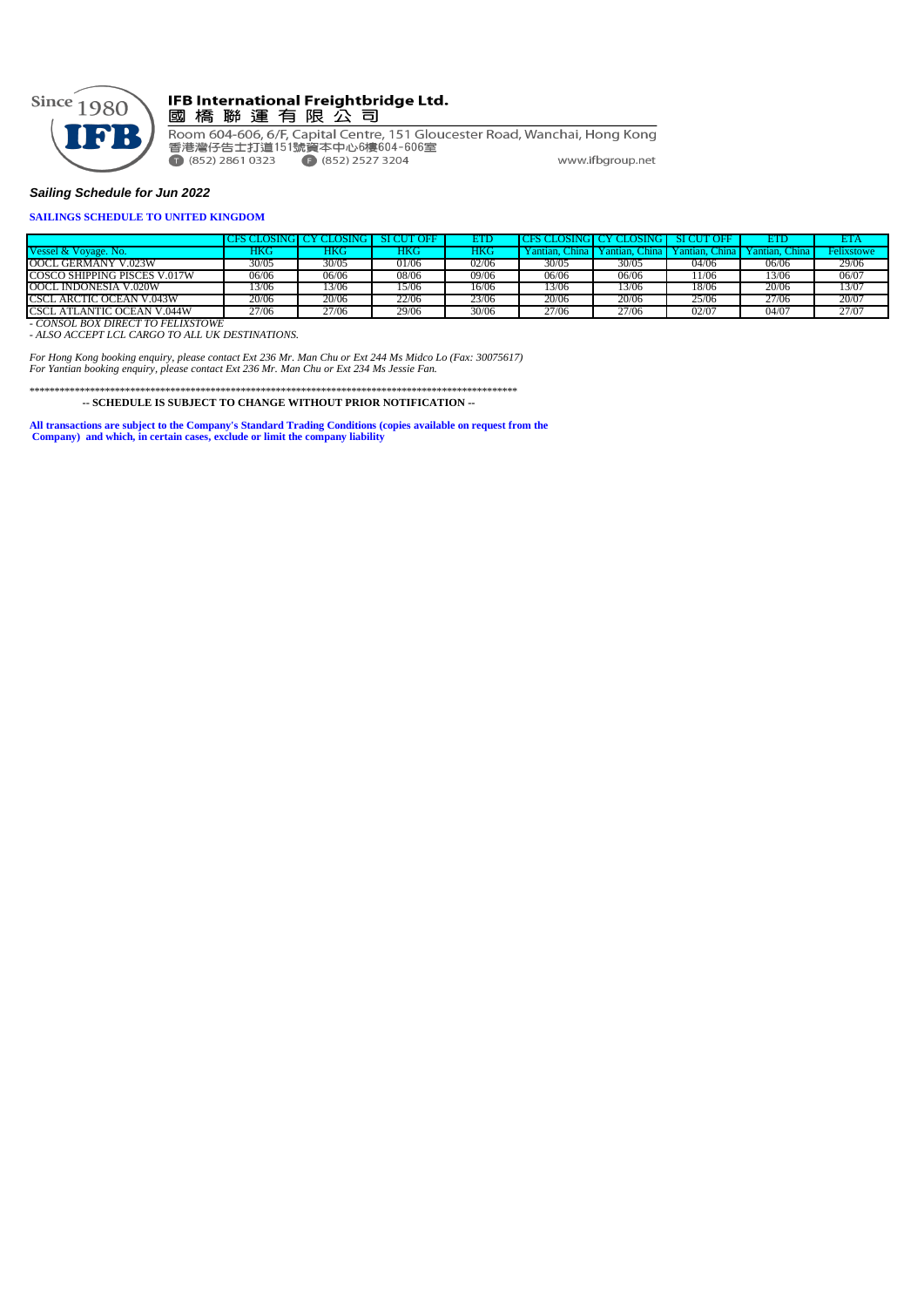

#### IFB International Freightbridge Ltd. 國橋聯運有限公司

Room 604-606, 6/F, Capital Centre, 151 Gloucester Road, Wanchai, Hong Kong<br>香港灣仔告士打道151號資本中心6樓604-606室  $\bullet$  (852) 2861 0323  $\bullet$  (852) 2527 3204 www.ifbgroup.net

#### *Sailing Schedule for Jun 2022*

#### **SAILINGS SCHEDULE TO UNITED KINGDOM**

|                                   |       | <b>CES CLOSING LCY CLOSING</b> | SI CUT OFF |            | <b>OSING</b>     | LOSING L         | <b>OFF</b><br><b>STC</b> | ETD                | ETA        |
|-----------------------------------|-------|--------------------------------|------------|------------|------------------|------------------|--------------------------|--------------------|------------|
| Vessel & Vovage. No.              | HKC   | <b>HKG</b>                     | ÆС         | <b>HKG</b> | ⊇hina<br>antian. | ⊔hina<br>Yantian | Yantian.<br>hina         | . China<br>antian. | Felixstowe |
| OOCL GERMANY V.023W               | 30/05 | 30/05                          | 01/06      | 02/06      | 30/05            | 30/05            | 04/06                    | 06/06              | 29/06      |
| COSCO SHIPPING PISCES V.017W      | 06/06 | 06/06                          | 08/06      | 09/06      | 06/06            | 06/06            | 1/06                     | 13/06              | 06/07      |
| OOCL INDONESIA V.020W             | 3/06  | 13/06                          | 15/06      | 16/06      | 3/06             | 13/06            | 18/06                    | 20/06              | 13/07      |
| CSCL ARCTIC OCEAN V.043W          | 20/06 | 20/06                          | 22/06      | 23/06      | 20/06            | 20/06            | 25/06                    | 27/06              | 20/07      |
| CSCL ATLANTIC OCEAN V.044W        | 27/06 | 27/06                          | 29/06      | 30/06      | 27/06            | 27/06            | 02/07                    | 04/07              | 27/07      |
| - CONSOL BOX DIRECT TO FELIXSTOWE |       |                                |            |            |                  |                  |                          |                    |            |

*- ALSO ACCEPT LCL CARGO TO ALL UK DESTINATIONS.*

*For Hong Kong booking enquiry, please contact Ext 236 Mr. Man Chu or Ext 244 Ms Midco Lo (Fax: 30075617) For Yantian booking enquiry, please contact Ext 236 Mr. Man Chu or Ext 234 Ms Jessie Fan.*

\*\*\*\*\*\*\*\*\*\*\*\*\*\*\*\*\*\*\*\*\*\*\*\*\*\*\*\*\*\*\*\*\*\*\*\*\*\*\*\*\*\*\*\*\*\*\*\*\*\*\*\*\*\*\*\*\*\*\*\*\*\*\*\*\*\*\*\*\*\*\*\*\*\*\*\*\*\*\*\*\*\*\*\*\*\*\*\*\*\*\*\*\*\*\*\*\*  **-- SCHEDULE IS SUBJECT TO CHANGE WITHOUT PRIOR NOTIFICATION --**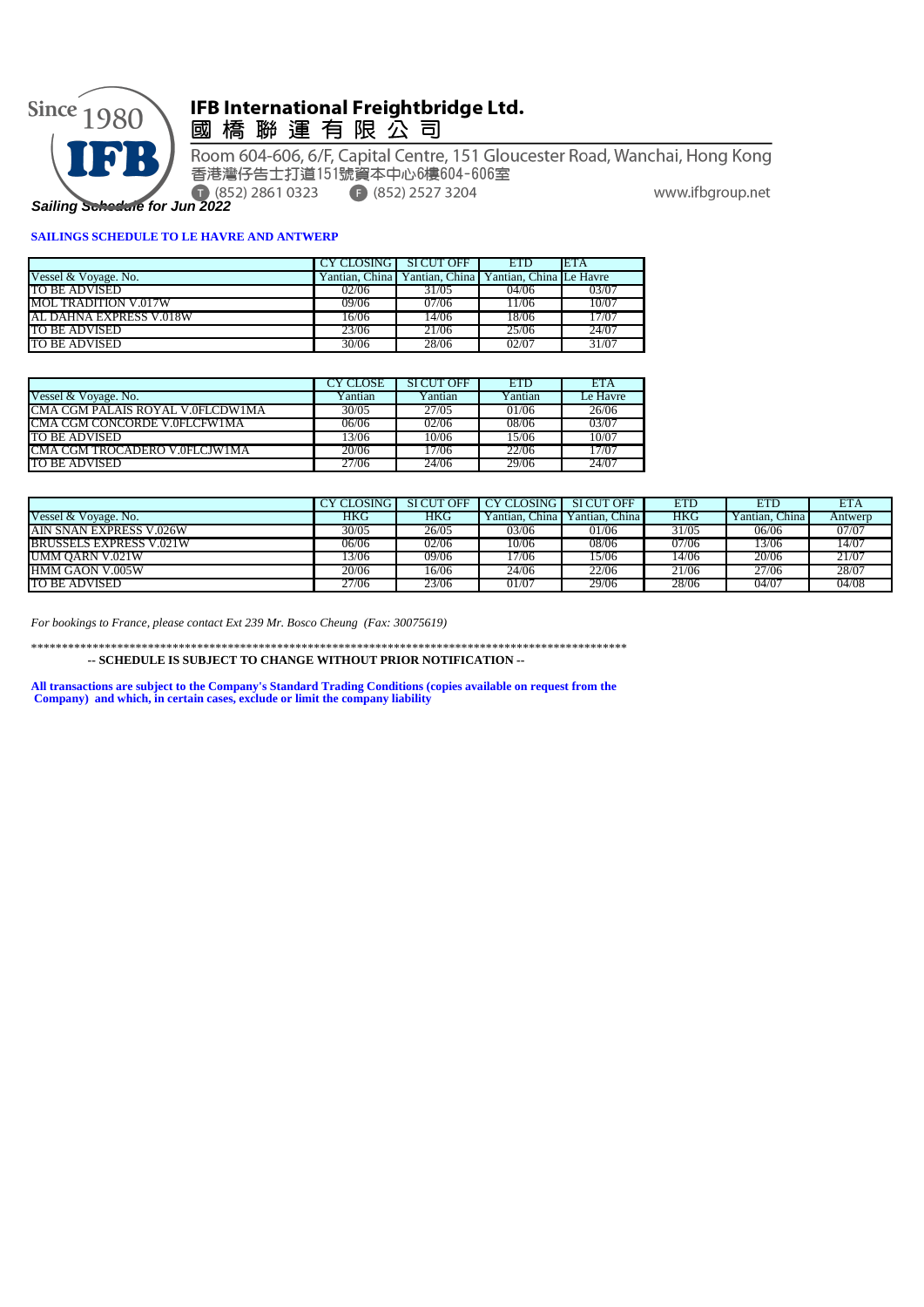

# IFB International Freightbridge Ltd.<br>國 橋 聯 運 有 限 公 司

Room 604-606, 6/F, Capital Centre, 151 Gloucester Road, Wanchai, Hong Kong 香港灣仔告士打道151號資本中心6樓604-606室 • (852) 2527 3204 www.ifbgroup.net

*Sailing Schedule for Jun 2022*

#### **SAILINGS SCHEDULE TO LE HAVRE AND ANTWERP**

|                             | CY CLOSING SI CUT OFF |                                                           | <b>ETD</b> | ETA   |
|-----------------------------|-----------------------|-----------------------------------------------------------|------------|-------|
| Vessel & Voyage. No.        |                       | Yantian, China   Yantian, China   Yantian, China Le Havre |            |       |
| TO BE ADVISED               | 02/06                 | 31/05                                                     | 04/06      | 03/07 |
| <b>MOL TRADITION V.017W</b> | 09/06                 | 07/06                                                     | 1/06       | 10/07 |
| AL DAHNA EXPRESS V.018W     | 16/06                 | 14/06                                                     | 18/06      | .7/07 |
| TO BE ADVISED               | 23/06                 | 21/06                                                     | 25/06      | 24/07 |
| TO BE ADVISED               | 30/06                 | 28/06                                                     | 02/07      | 31/07 |

|                                  | .'Y CLOSE | <b>SICUT OFF</b> | <b>ETD</b> | ETA      |
|----------------------------------|-----------|------------------|------------|----------|
| Vessel & Voyage. No.             | Y antian  | Yantian          | Yantian    | Le Havre |
| CMA CGM PALAIS ROYAL V 0FLCDW1MA | 30/05     | 27/05            | 01/06      | 26/06    |
| CMA CGM CONCORDE V 0FLCFW1MA     | 06/06     | 02/06            | 08/06      | 03/07    |
| TO BE ADVISED                    | 13/06     | 10/06            | 15/06      | 10/07    |
| CMA CGM TROCADERO V 0FLCJW1MA    | 20/06     | 17/06            | 22/06      | 17/07    |
| <b>TO BE ADVISED</b>             | 27/06     | 24/06            | 29/06      | 24/07    |

|                                 | CY CLOSING | SI CUT OFF | <b>CY CLOSING</b> | <b>SICUT OFF</b> | ETD   | ETD            | ETA     |
|---------------------------------|------------|------------|-------------------|------------------|-------|----------------|---------|
| Vessel & Voyage. No.            | HKG        | HKG        | ∕antian. China l  | Yantian. China I | HKG   | Zantian. China | Antwerp |
| <b>JAIN SNAN EXPRESS V.026W</b> | 30/05      | 26/05      | 03/06             | 01/06            | 31/05 | 06/06          | 07/07   |
| <b>BRUSSELS EXPRESS V.021W</b>  | 06/06      | 02/06      | 10/06             | 08/06            | 07/06 | 13/06          | 14/07   |
| UMM OARN V.021W                 | 3/06       | 09/06      | 17/06             | 15/06            | 14/06 | 20/06          | 21/07   |
| <b>HMM GAON V.005W</b>          | 20/06      | 6/06       | 24/06             | 22/06            | 21/06 | 27/06          | 28/07   |
| TO BE ADVISED                   | 27/06      | 23/06      | 01/07             | 29/06            | 28/06 | 04/07          | 04/08   |

*For bookings to France, please contact Ext 239 Mr. Bosco Cheung (Fax: 30075619)*

\*\*\*\*\*\*\*\*\*\*\*\*\*\*\*\*\*\*\*\*\*\*\*\*\*\*\*\*\*\*\*\*\*\*\*\*\*\*\*\*\*\*\*\*\*\*\*\*\*\*\*\*\*\*\*\*\*\*\*\*\*\*\*\*\*\*\*\*\*\*\*\*\*\*\*\*\*\*\*\*\*\*\*\*\*\*\*\*\*\*\*\*\*\*\*\*\*

 **-- SCHEDULE IS SUBJECT TO CHANGE WITHOUT PRIOR NOTIFICATION --**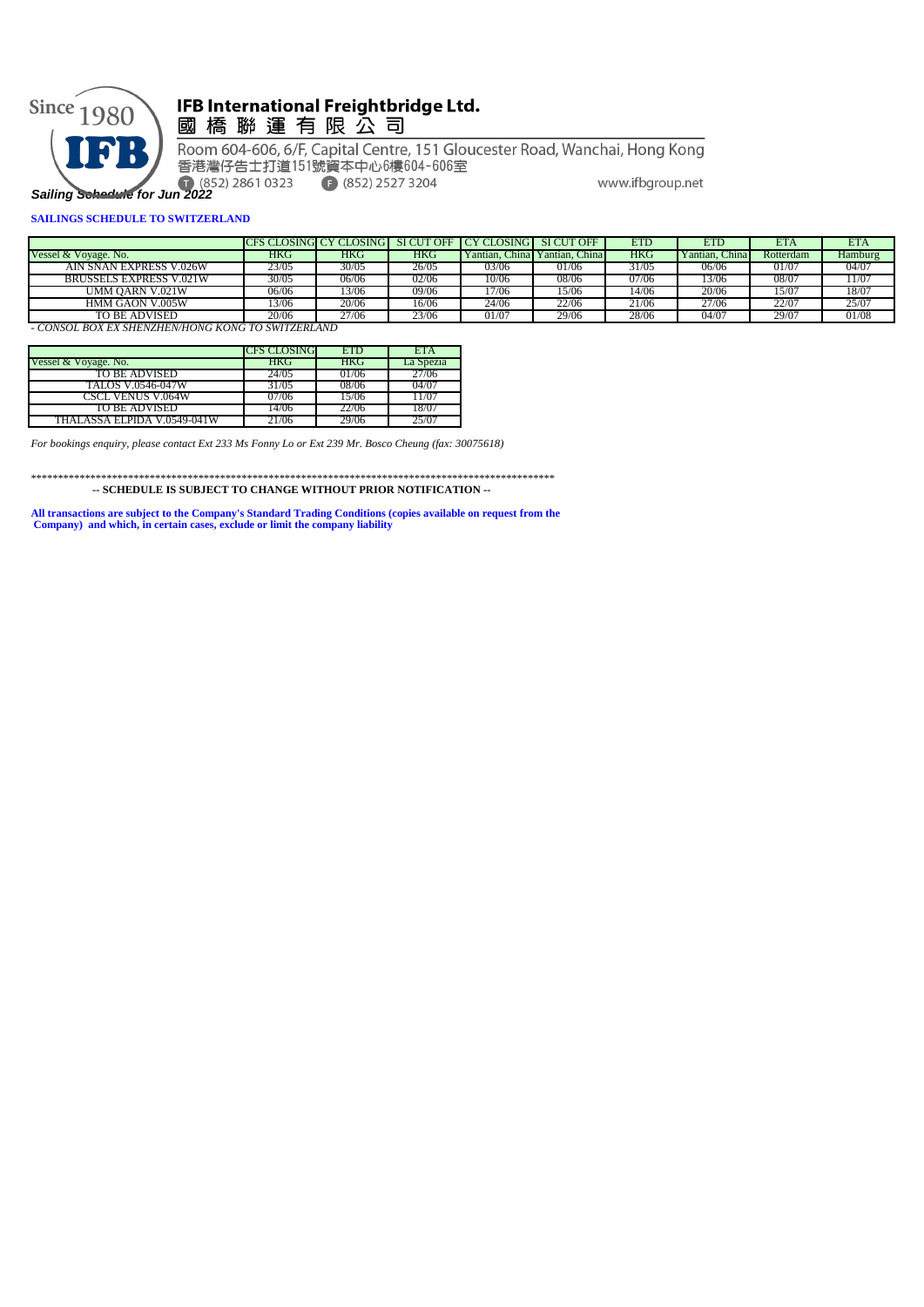

# IFB International Freightbridge Ltd. 國 橋 聯 運 有 限 公 司

Room 604-606, 6/F, Capital Centre, 151 Gloucester Road, Wanchai, Hong Kong 香港灣仔告士打道151號資本中心6樓604-606室

**E** (852) 2527 3204

www.ifbgroup.net

#### **SAILINGS SCHEDULE TO SWITZERLAND**

|                                |       | CFS CLOSING CY CLOSING |       | SI CUT OFF I CY CLOSING SI CUT OFF |                      | <b>ETD</b> | ETD                | ETA        | ETA     |
|--------------------------------|-------|------------------------|-------|------------------------------------|----------------------|------------|--------------------|------------|---------|
| Vessel & Voyage, No.           | HKG   | HKG                    | HKG   | Yantian.                           | China Yantian, China | <b>HKG</b> | ∕antian. C<br>:hın | Rotterdam  | Hamburg |
| AIN SNAN EXPRESS V.026W        | 23/05 | 30/05                  | 26/05 | 03/06                              | 01/06                | 31/05      | 06/06              | 01/07      | 04/07   |
| <b>BRUSSELS EXPRESS V.021W</b> | 30/05 | 06/06                  | 02/06 | 10/06                              | 08/06                | 07/06      | 3/06               | 08/0       | 1/07    |
| UMM OARN V.021W                | 06/06 | 3/06                   | 09/06 | 7/06                               | 15/06                | 14/06      | 20/06              | 5/0        | 18/07   |
| <b>HMM GAON V.005W</b>         | 13/06 | 20/06                  | 16/06 | 24/06                              | 22/06                | 21/06      | 27706              | $22/0^{-}$ | 25/07   |
| TO BE ADVISED.                 | 20/06 | 27/06                  | 23/06 | 01/07                              | 29/06                | 28/06      | 04/07              | 29/07      | 01/08   |

*- CONSOL BOX EX SHENZHEN/HONG KONG TO SWITZERLAND*

|                             | CFS CLOSING | <b>ETD</b> | <b>ETA</b> |
|-----------------------------|-------------|------------|------------|
| Vessel & Voyage. No.        | <b>HKG</b>  | HKG        | La Spezia  |
| TO BE ADVISED               | 24/05       | 01/06      | 27/06      |
| <b>TALOS V.0546-047W</b>    | 31/05       | -08/06     | 04/07      |
| <b>CSCL VENUS V.064W</b>    | 07/06       | 15/06      | 1707       |
| TO BE ADVISED               | 14/06       | 22/06      | 18/07      |
| THALASSA ELPIDA V.0549-041W | 21/06       | 29/06      |            |

*For bookings enquiry, please contact Ext 233 Ms Fonny Lo or Ext 239 Mr. Bosco Cheung (fax: 30075618)*

\*\*\*\*\*\*\*\*\*\*\*\*\*\*\*\*\*\*\*\*\*\*\*\*\*\*\*\*\*\*\*\*\*\*\*\*\*\*\*\*\*\*\*\*\*\*\*\*\*\*\*\*\*\*\*\*\*\*\*\*\*\*\*\*\*\*\*\*\*\*\*\*\*\*\*\*\*\*\*\*\*\*\*\*\*\*\*\*\*\*\*\*\*\*\*\*\*  **-- SCHEDULE IS SUBJECT TO CHANGE WITHOUT PRIOR NOTIFICATION --**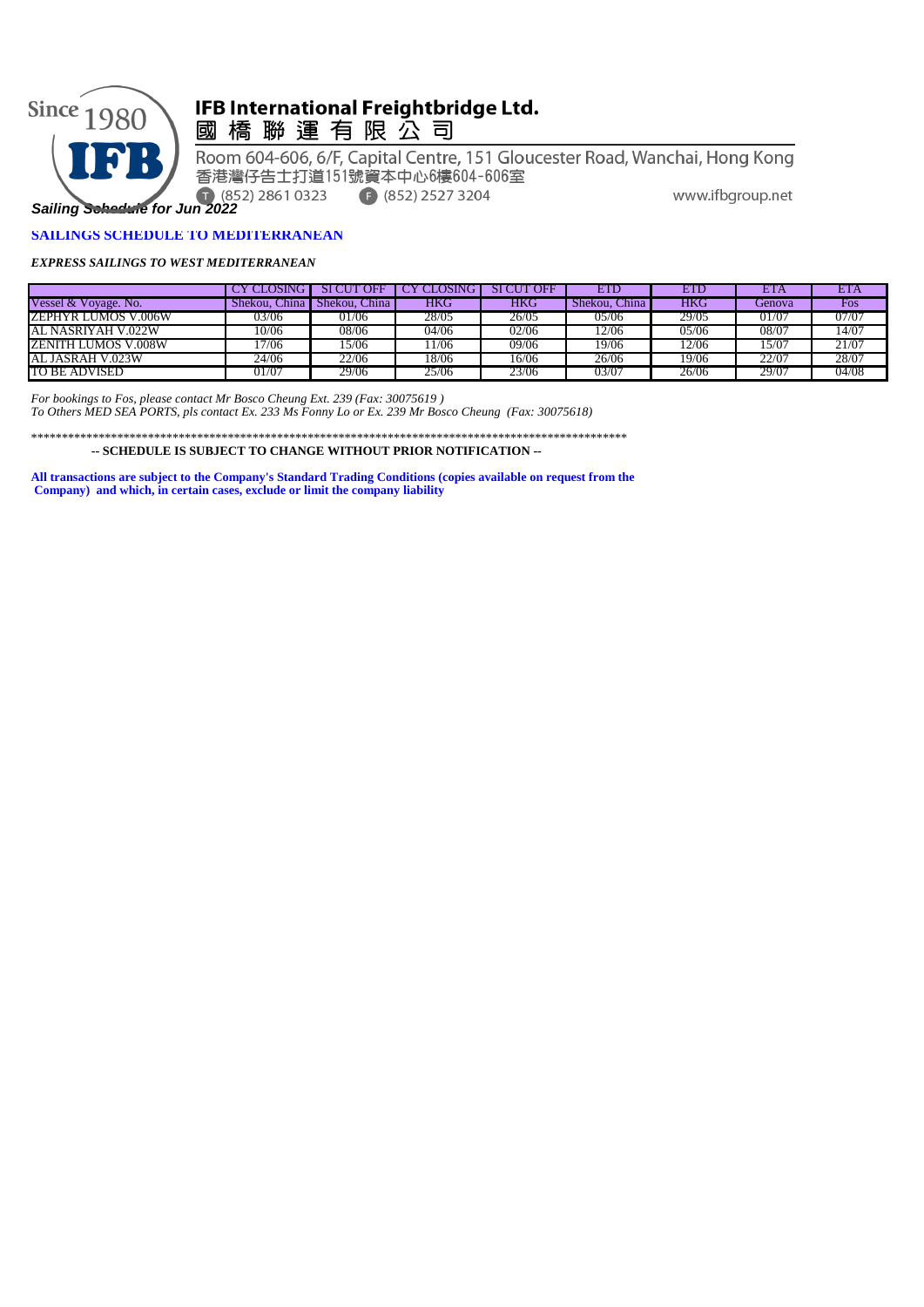

# IFB International Freightbridge Ltd.

國橋聯運有限公司

Room 604-606, 6/F, Capital Centre, 151 Gloucester Road, Wanchai, Hong Kong 香港灣仔告士打道151號資本中心6樓604-606室 • (852) 2527 3204 www.ifbgroup.net

*Sailing Schedule for Jun 2022*

#### **SAILINGS SCHEDULE TO MEDITERRANEAN**

#### *EXPRESS SAILINGS TO WEST MEDITERRANEAN*

|                      | CLOSING-      | SI CUT<br>OFF | 7 CLOSING I | <b>SI CUT OFF</b> | <b>ETD</b>    | <b>ETD</b> | <b>ETA</b> | ETA   |
|----------------------|---------------|---------------|-------------|-------------------|---------------|------------|------------|-------|
| Vessel & Voyage. No. | Shekou, China | Shekou, China | HKG         | <b>HKG</b>        | Shekou, China | <b>HKG</b> | Genova     | Fos   |
| ZEPHYR LUMOS V.006W  | 03/06         | 01/06         | 28/05       | 26/05             | 05/06         | 29/05      | 01/07      | 07/07 |
| AL NASRIYAH V.022W   | 10/06         | 08/06         | 04/06       | 02/06             | 12/06         | 05/06      | 08/07      | 4/07  |
| ZENITH LUMOS V.008W  | 7/06          | 15/06         | 1/06        | 09/06             | 19/06         | 12/06      | 15/07      | 21/07 |
| AL JASRAH V.023W     | 24/06         | 22/06         | 18/06       | 16/06             | 26/06         | 19/06      | 22/07      | 28/07 |
| TO BE ADVISED        | 01/07         | 29/06         | 25/06       | 23/06             | 03/07         | 26/06      | 29/07      | 04/08 |

*For bookings to Fos, please contact Mr Bosco Cheung Ext. 239 (Fax: 30075619 ) To Others MED SEA PORTS, pls contact Ex. 233 Ms Fonny Lo or Ex. 239 Mr Bosco Cheung (Fax: 30075618)*

\*\*\*\*\*\*\*\*\*\*\*\*\*\*\*\*\*\*\*\*\*\*\*\*\*\*\*\*\*\*\*\*\*\*\*\*\*\*\*\*\*\*\*\*\*\*\*\*\*\*\*\*\*\*\*\*\*\*\*\*\*\*\*\*\*\*\*\*\*\*\*\*\*\*\*\*\*\*\*\*\*\*\*\*\*\*\*\*\*\*\*\*\*\*\*\*\*  **-- SCHEDULE IS SUBJECT TO CHANGE WITHOUT PRIOR NOTIFICATION --**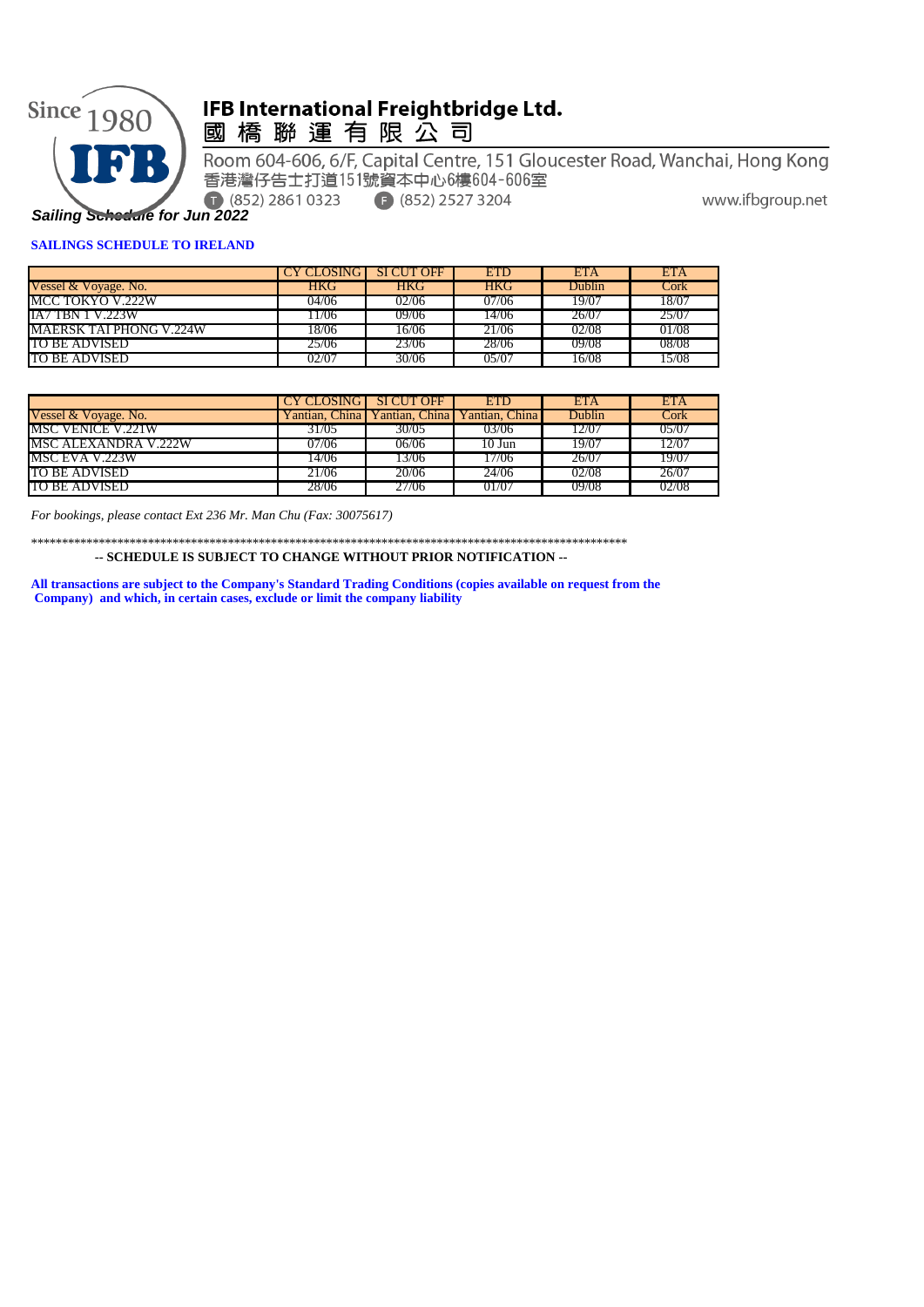

# IFB International Freightbridge Ltd.

國橋聯運有限公司

Room 604-606, 6/F, Capital Centre, 151 Gloucester Road, Wanchai, Hong Kong 香港灣仔告士打道151號資本中心6樓604-606室 (852) 2861 0323

 $F(852) 2527 3204$ 

www.ifbgroup.net

## **SAILINGS SCHEDULE TO IRELAND**

|                                | CY CLOSING SI CUT OFF |            | <b>ETD</b> | <b>ETA</b>    | <b>ETA</b> |
|--------------------------------|-----------------------|------------|------------|---------------|------------|
| Vessel & Voyage. No.           | HKG                   | <b>HKG</b> | <b>HKG</b> | <b>Dublin</b> | Cork       |
| MCC TOKYO V.222W               | 04/06                 | 02/06      | 07/06      | 19/07         | 18/07      |
| <b>IA7 TBN 1 V.223W</b>        | 1/06                  | 09/06      | 14/06      | 26/07         | 25/07      |
| <b>MAERSK TAI PHONG V.224W</b> | 18/06                 | 16/06      | 21706      | 02/08         | 01/08      |
| TO BE ADVISED                  | 25/06                 | 23/06      | 28/06      | 09/08         | 08/08      |
| TO BE ADVISED                  | 02/07                 | 30/06      | 05/01      | 16/08         | 15/08      |

|                      | <b>CY CLOSING SIGUT OFF</b> |       | ETD                                          | <b>ETA</b> | <b>ETA</b> |
|----------------------|-----------------------------|-------|----------------------------------------------|------------|------------|
| Vessel & Voyage. No. |                             |       | Yantian, China Yantian, China Yantian, China | Dublin     | Cork       |
| MSC VENICE V.221W    | 31/05                       | 30/05 | 03/06                                        | 12/07      | 05/07      |
| MSC ALEXANDRA V.222W | 07/06                       | 06/06 | 10 Jun                                       | 19/07      | 12/07      |
| MSC EVA V.223W       | 14/06                       | 13/06 | 17/06                                        | 26/07      | 19/07      |
| TO BE ADVISED        | 21/06                       | 20/06 | 24/06                                        | 02/08      | 26/07      |
| TO BE ADVISED        | 28/06                       | 27/06 | 01/07                                        | 09/08      | 02/08      |

*For bookings, please contact Ext 236 Mr. Man Chu (Fax: 30075617)*

\*\*\*\*\*\*\*\*\*\*\*\*\*\*\*\*\*\*\*\*\*\*\*\*\*\*\*\*\*\*\*\*\*\*\*\*\*\*\*\*\*\*\*\*\*\*\*\*\*\*\*\*\*\*\*\*\*\*\*\*\*\*\*\*\*\*\*\*\*\*\*\*\*\*\*\*\*\*\*\*\*\*\*\*\*\*\*\*\*\*\*\*\*\*\*\*\*

 **-- SCHEDULE IS SUBJECT TO CHANGE WITHOUT PRIOR NOTIFICATION --**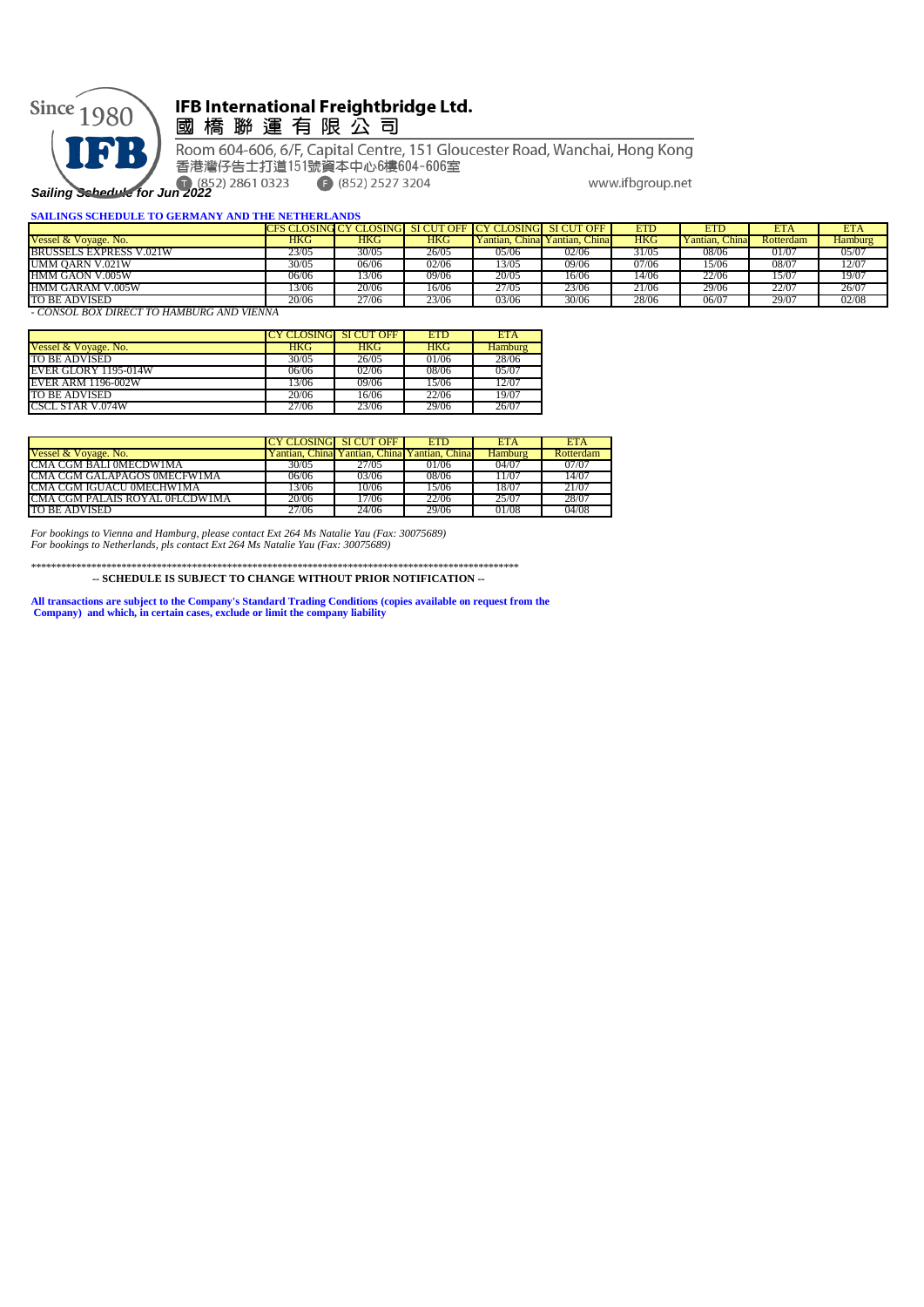

## IFB International Freightbridge Ltd. 國橋聯運有限公司

Room 604-606, 6/F, Capital Centre, 151 Gloucester Road, Wanchai, Hong Kong 香港灣仔告士打道151號資本中心6樓604-606室  $(852)$  2527 3204 www.ifbgroup.net

**Sailing Schedule for Jun 2022** 

| <b>SAILINGS SCHEDULE TO GERMANY AND THE NETHERLANDS</b> |       |       |       |                                                                |                               |            |                |            |                |
|---------------------------------------------------------|-------|-------|-------|----------------------------------------------------------------|-------------------------------|------------|----------------|------------|----------------|
|                                                         |       |       |       | <b>CFS CLOSING CY CLOSING SI CUT OFF CY CLOSING SI CUT OFF</b> |                               | <b>ETD</b> | ETD            | <b>ETA</b> | <b>ETA</b>     |
| Vessel & Voyage, No.                                    | HKG   | HKG   | HKG   |                                                                | Yantian, China Yantian, China | HKG        | Yantian, China | Rotterdam  | <b>Hamburg</b> |
| <b>BRUSSELS EXPRESS V.021W</b>                          | 23/05 | 30/05 | 26/05 | 05/06                                                          | 02/06                         | 31/05      | 08/06          | 01/07      | 05/07          |
| UMM OARN V.021W                                         | 30/05 | 06/06 | 02/06 | 13/05                                                          | 09/06                         | 07/06      | 15/06          | 08/07      | 12/07          |
| HMM GAON V.005W                                         | 06/06 | 13/06 | 09/06 | 20/05                                                          | 16/06                         | 14/06      | 22/06          | 15/07      | 19/07          |
| HMM GARAM V.005W                                        | 3/06  | 20/06 | 16/06 | 27/05                                                          | 23/06                         | 21/06      | 29/06          | 22/07      | 26/07          |
| TO BE ADVISED                                           | 20/06 | 27/06 | 23/06 | 03/06                                                          | 30/06                         | 28/06      | 06/07          | 29/07      | 02/08          |
| - CONSOL BOX DIRECT TO HAMBURG AND VIENNA               |       |       |       |                                                                |                               |            |                |            |                |

|                           | <b>CY CLOSING SI CUT OFF</b> |            | <b>ETD</b> | <b>ETA</b>     |
|---------------------------|------------------------------|------------|------------|----------------|
| Vessel & Voyage. No.      | <b>HKG</b>                   | <b>HKG</b> | <b>HKG</b> | <b>Hamburg</b> |
| TO BE ADVISED             | 30/05                        | 26/05      | 01/06      | 28/06          |
| EVER GLORY 1195-014W      | 06/06                        | 02/06      | 08/06      | 05/07          |
| <b>EVER ARM 1196-002W</b> | 13/06                        | 09/06      | 15/06      | 12/07          |
| TO BE ADVISED             | 20/06                        | 16/06      | 22/06      | 19/07          |
| <b>CSCL STAR V.074W</b>   | 27/06                        | 23/06      | 29/06      | 26/07          |

|                                |       | <b>CLOSING SI CUT OFF</b>       | <b>ETD</b>     | ETA     | <b>ETA</b> |
|--------------------------------|-------|---------------------------------|----------------|---------|------------|
| Vessel & Voyage. No.           |       | Yantian. Chinal Yantian. Chinal | Yantian, China | Hamburg | Rotterdam  |
| ICMA CGM BALLOMECDWIMA         | 30/05 | 27/05                           | 01/06          | (14/07) | 07/07      |
| CMA CGM GALAPAGOS 0MECFW1MA    | 06/06 | 03706                           | 08/06          | .1/07   | 14/07      |
| CMA CGM IGUACU 0MECHW1MA       | 3/06  | 10/06                           | 15/06          | 18/07   | 21/07      |
| CMA CGM PALAIS ROYAL 0FLCDW1MA | 20/06 | 7/06                            | 22/06          | 25/07   | 28/07      |
| TO BE ADVISED                  | 27/06 | 24/06                           | 29/06          | 01/08   | 04/08      |

*For bookings to Vienna and Hamburg, please contact Ext 264 Ms Natalie Yau (Fax: 30075689) For bookings to Netherlands, pls contact Ext 264 Ms Natalie Yau (Fax: 30075689)*

\*\*\*\*\*\*\*\*\*\*\*\*\*\*\*\*\*\*\*\*\*\*\*\*\*\*\*\*\*\*\*\*\*\*\*\*\*\*\*\*\*\*\*\*\*\*\*\*\*\*\*\*\*\*\*\*\*\*\*\*\*\*\*\*\*\*\*\*\*\*\*\*\*\*\*\*\*\*\*\*\*\*\*\*\*\*\*\*\*\*\*\*\*\*\*\*\*

 **-- SCHEDULE IS SUBJECT TO CHANGE WITHOUT PRIOR NOTIFICATION --**